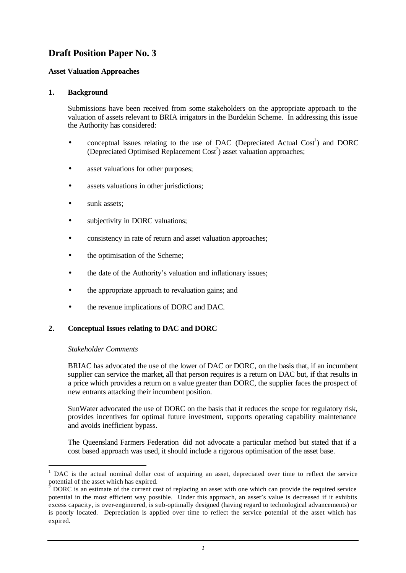# **Draft Position Paper No. 3**

## **Asset Valuation Approaches**

## **1. Background**

Submissions have been received from some stakeholders on the appropriate approach to the valuation of assets relevant to BRIA irrigators in the Burdekin Scheme. In addressing this issue the Authority has considered:

- conceptual issues relating to the use of DAC (Depreciated Actual  $Cost<sup>1</sup>$ ) and DORC (Depreciated Optimised Replacement Cost<sup>2</sup>) asset valuation approaches;
- asset valuations for other purposes;
- assets valuations in other jurisdictions;
- sunk assets;
- subjectivity in DORC valuations;
- consistency in rate of return and asset valuation approaches;
- the optimisation of the Scheme;
- the date of the Authority's valuation and inflationary issues;
- the appropriate approach to revaluation gains; and
- the revenue implications of DORC and DAC.

## **2. Conceptual Issues relating to DAC and DORC**

#### *Stakeholder Comments*

l

BRIAC has advocated the use of the lower of DAC or DORC, on the basis that, if an incumbent supplier can service the market, all that person requires is a return on DAC but, if that results in a price which provides a return on a value greater than DORC, the supplier faces the prospect of new entrants attacking their incumbent position.

SunWater advocated the use of DORC on the basis that it reduces the scope for regulatory risk, provides incentives for optimal future investment, supports operating capability maintenance and avoids inefficient bypass.

The Queensland Farmers Federation did not advocate a particular method but stated that if a cost based approach was used, it should include a rigorous optimisation of the asset base.

<sup>1</sup> DAC is the actual nominal dollar cost of acquiring an asset, depreciated over time to reflect the service potential of the asset which has expired.

<sup>2</sup> DORC is an estimate of the current cost of replacing an asset with one which can provide the required service potential in the most efficient way possible. Under this approach, an asset's value is decreased if it exhibits excess capacity, is over-engineered, is sub-optimally designed (having regard to technological advancements) or is poorly located. Depreciation is applied over time to reflect the service potential of the asset which has expired.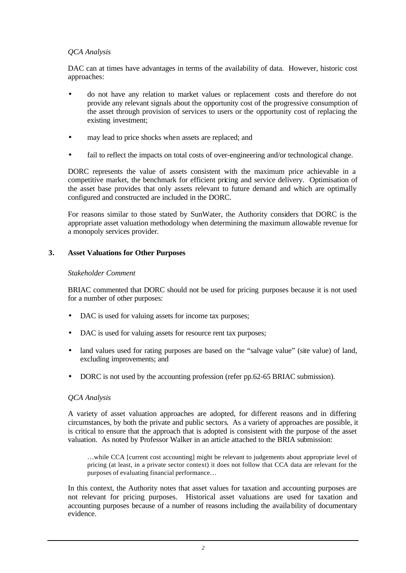## *QCA Analysis*

DAC can at times have advantages in terms of the availability of data. However, historic cost approaches:

- do not have any relation to market values or replacement costs and therefore do not provide any relevant signals about the opportunity cost of the progressive consumption of the asset through provision of services to users or the opportunity cost of replacing the existing investment;
- may lead to price shocks when assets are replaced; and
- fail to reflect the impacts on total costs of over-engineering and/or technological change.

DORC represents the value of assets consistent with the maximum price achievable in a competitive market, the benchmark for efficient pricing and service delivery. Optimisation of the asset base provides that only assets relevant to future demand and which are optimally configured and constructed are included in the DORC.

For reasons similar to those stated by SunWater, the Authority considers that DORC is the appropriate asset valuation methodology when determining the maximum allowable revenue for a monopoly services provider.

## **3. Asset Valuations for Other Purposes**

#### *Stakeholder Comment*

BRIAC commented that DORC should not be used for pricing purposes because it is not used for a number of other purposes:

- DAC is used for valuing assets for income tax purposes;
- DAC is used for valuing assets for resource rent tax purposes;
- land values used for rating purposes are based on the "salvage value" (site value) of land, excluding improvements; and
- DORC is not used by the accounting profession (refer pp.62-65 BRIAC submission).

#### *QCA Analysis*

A variety of asset valuation approaches are adopted, for different reasons and in differing circumstances, by both the private and public sectors. As a variety of approaches are possible, it is critical to ensure that the approach that is adopted is consistent with the purpose of the asset valuation. As noted by Professor Walker in an article attached to the BRIA submission:

…while CCA [current cost accounting] might be relevant to judgements about appropriate level of pricing (at least, in a private sector context) it does not follow that CCA data are relevant for the purposes of evaluating financial performance…

In this context, the Authority notes that asset values for taxation and accounting purposes are not relevant for pricing purposes. Historical asset valuations are used for taxation and accounting purposes because of a number of reasons including the availability of documentary evidence.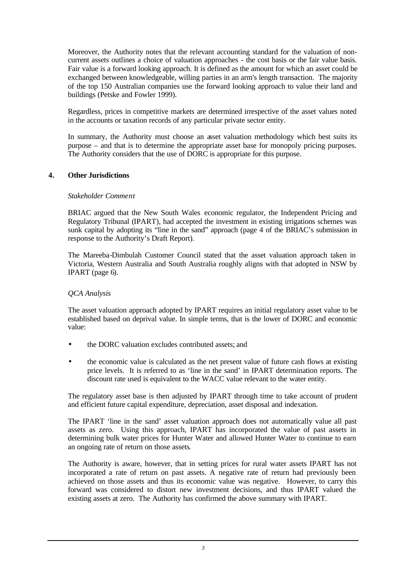Moreover, the Authority notes that the relevant accounting standard for the valuation of noncurrent assets outlines a choice of valuation approaches - the cost basis or the fair value basis. Fair value is a forward looking approach. It is defined as the amount for which an asset could be exchanged between knowledgeable, willing parties in an arm's length transaction. The majority of the top 150 Australian companies use the forward looking approach to value their land and buildings (Petske and Fowler 1999).

Regardless, prices in competitive markets are determined irrespective of the asset values noted in the accounts or taxation records of any particular private sector entity.

In summary, the Authority must choose an asset valuation methodology which best suits its purpose – and that is to determine the appropriate asset base for monopoly pricing purposes. The Authority considers that the use of DORC is appropriate for this purpose.

## **4. Other Jurisdictions**

## *Stakeholder Comment*

BRIAC argued that the New South Wales economic regulator, the Independent Pricing and Regulatory Tribunal (IPART), had accepted the investment in existing irrigations schemes was sunk capital by adopting its "line in the sand" approach (page 4 of the BRIAC's submission in response to the Authority's Draft Report).

The Mareeba-Dimbulah Customer Council stated that the asset valuation approach taken in Victoria, Western Australia and South Australia roughly aligns with that adopted in NSW by IPART (page 6).

## *QCA Analysis*

The asset valuation approach adopted by IPART requires an initial regulatory asset value to be established based on deprival value. In simple terms, that is the lower of DORC and economic value:

- the DORC valuation excludes contributed assets: and
- the economic value is calculated as the net present value of future cash flows at existing price levels. It is referred to as 'line in the sand' in IPART determination reports. The discount rate used is equivalent to the WACC value relevant to the water entity.

The regulatory asset base is then adjusted by IPART through time to take account of prudent and efficient future capital expenditure, depreciation, asset disposal and indexation.

The IPART 'line in the sand' asset valuation approach does not automatically value all past assets as zero. Using this approach, IPART has incorporated the value of past assets in determining bulk water prices for Hunter Water and allowed Hunter Water to continue to earn an ongoing rate of return on those assets.

The Authority is aware, however, that in setting prices for rural water assets IPART has not incorporated a rate of return on past assets. A negative rate of return had previously been achieved on those assets and thus its economic value was negative. However, to carry this forward was considered to distort new investment decisions, and thus IPART valued the existing assets at zero. The Authority has confirmed the above summary with IPART.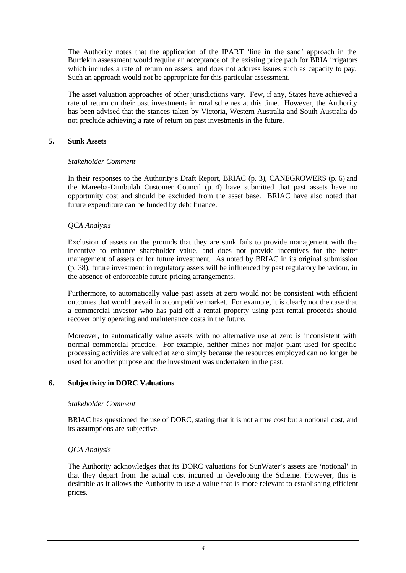The Authority notes that the application of the IPART 'line in the sand' approach in the Burdekin assessment would require an acceptance of the existing price path for BRIA irrigators which includes a rate of return on assets, and does not address issues such as capacity to pay. Such an approach would not be appropriate for this particular assessment.

The asset valuation approaches of other jurisdictions vary. Few, if any, States have achieved a rate of return on their past investments in rural schemes at this time. However, the Authority has been advised that the stances taken by Victoria, Western Australia and South Australia do not preclude achieving a rate of return on past investments in the future.

## **5. Sunk Assets**

#### *Stakeholder Comment*

In their responses to the Authority's Draft Report, BRIAC (p. 3), CANEGROWERS (p. 6) and the Mareeba-Dimbulah Customer Council (p. 4) have submitted that past assets have no opportunity cost and should be excluded from the asset base. BRIAC have also noted that future expenditure can be funded by debt finance.

## *QCA Analysis*

Exclusion of assets on the grounds that they are sunk fails to provide management with the incentive to enhance shareholder value, and does not provide incentives for the better management of assets or for future investment. As noted by BRIAC in its original submission (p. 38), future investment in regulatory assets will be influenced by past regulatory behaviour, in the absence of enforceable future pricing arrangements.

Furthermore, to automatically value past assets at zero would not be consistent with efficient outcomes that would prevail in a competitive market. For example, it is clearly not the case that a commercial investor who has paid off a rental property using past rental proceeds should recover only operating and maintenance costs in the future.

Moreover, to automatically value assets with no alternative use at zero is inconsistent with normal commercial practice. For example, neither mines nor major plant used for specific processing activities are valued at zero simply because the resources employed can no longer be used for another purpose and the investment was undertaken in the past.

## **6. Subjectivity in DORC Valuations**

#### *Stakeholder Comment*

BRIAC has questioned the use of DORC, stating that it is not a true cost but a notional cost, and its assumptions are subjective.

#### *QCA Analysis*

The Authority acknowledges that its DORC valuations for SunWater's assets are 'notional' in that they depart from the actual cost incurred in developing the Scheme. However, this is desirable as it allows the Authority to use a value that is more relevant to establishing efficient prices.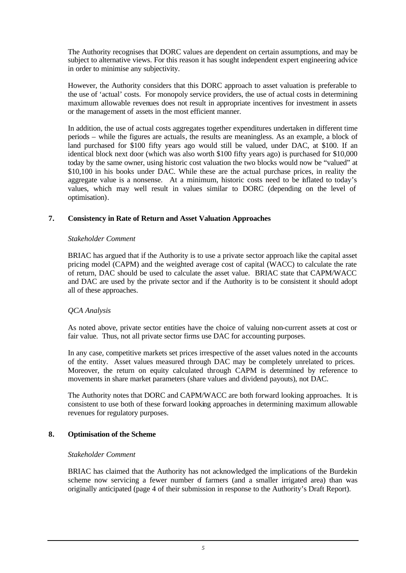The Authority recognises that DORC values are dependent on certain assumptions, and may be subject to alternative views. For this reason it has sought independent expert engineering advice in order to minimise any subjectivity.

However, the Authority considers that this DORC approach to asset valuation is preferable to the use of 'actual' costs. For monopoly service providers, the use of actual costs in determining maximum allowable revenues does not result in appropriate incentives for investment in assets or the management of assets in the most efficient manner.

In addition, the use of actual costs aggregates together expenditures undertaken in different time periods – while the figures are actuals, the results are meaningless. As an example, a block of land purchased for \$100 fifty years ago would still be valued, under DAC, at \$100. If an identical block next door (which was also worth \$100 fifty years ago) is purchased for \$10,000 today by the same owner, using historic cost valuation the two blocks would now be "valued" at \$10,100 in his books under DAC. While these are the actual purchase prices, in reality the aggregate value is a nonsense. At a minimum, historic costs need to be inflated to today's values, which may well result in values similar to DORC (depending on the level of optimisation).

## **7. Consistency in Rate of Return and Asset Valuation Approaches**

## *Stakeholder Comment*

BRIAC has argued that if the Authority is to use a private sector approach like the capital asset pricing model (CAPM) and the weighted average cost of capital (WACC) to calculate the rate of return, DAC should be used to calculate the asset value. BRIAC state that CAPM/WACC and DAC are used by the private sector and if the Authority is to be consistent it should adopt all of these approaches.

## *QCA Analysis*

As noted above, private sector entities have the choice of valuing non-current assets at cost or fair value. Thus, not all private sector firms use DAC for accounting purposes.

In any case, competitive markets set prices irrespective of the asset values noted in the accounts of the entity. Asset values measured through DAC may be completely unrelated to prices. Moreover, the return on equity calculated through CAPM is determined by reference to movements in share market parameters (share values and dividend payouts), not DAC.

The Authority notes that DORC and CAPM/WACC are both forward looking approaches. It is consistent to use both of these forward looking approaches in determining maximum allowable revenues for regulatory purposes.

## **8. Optimisation of the Scheme**

## *Stakeholder Comment*

BRIAC has claimed that the Authority has not acknowledged the implications of the Burdekin scheme now servicing a fewer number of farmers (and a smaller irrigated area) than was originally anticipated (page 4 of their submission in response to the Authority's Draft Report).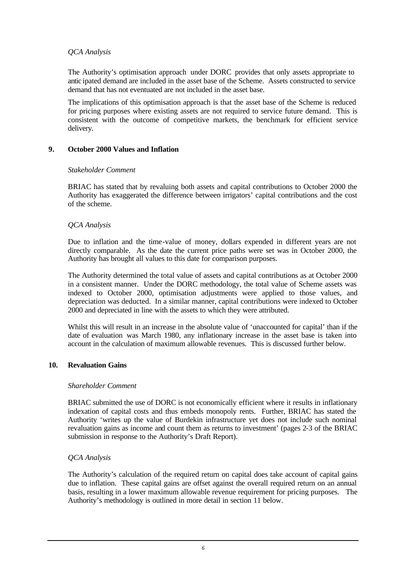## *QCA Analysis*

The Authority's optimisation approach under DORC provides that only assets appropriate to antic ipated demand are included in the asset base of the Scheme. Assets constructed to service demand that has not eventuated are not included in the asset base.

The implications of this optimisation approach is that the asset base of the Scheme is reduced for pricing purposes where existing assets are not required to service future demand. This is consistent with the outcome of competitive markets, the benchmark for efficient service delivery.

## **9. October 2000 Values and Inflation**

#### *Stakeholder Comment*

BRIAC has stated that by revaluing both assets and capital contributions to October 2000 the Authority has exaggerated the difference between irrigators' capital contributions and the cost of the scheme.

## *QCA Analysis*

Due to inflation and the time-value of money, dollars expended in different years are not directly comparable. As the date the current price paths were set was in October 2000, the Authority has brought all values to this date for comparison purposes.

The Authority determined the total value of assets and capital contributions as at October 2000 in a consistent manner. Under the DORC methodology, the total value of Scheme assets was indexed to October 2000, optimisation adjustments were applied to those values, and depreciation was deducted. In a similar manner, capital contributions were indexed to October 2000 and depreciated in line with the assets to which they were attributed.

Whilst this will result in an increase in the absolute value of 'unaccounted for capital' than if the date of evaluation was March 1980, any inflationary increase in the asset base is taken into account in the calculation of maximum allowable revenues. This is discussed further below.

## **10. Revaluation Gains**

#### *Shareholder Comment*

BRIAC submitted the use of DORC is not economically efficient where it results in inflationary indexation of capital costs and thus embeds monopoly rents. Further, BRIAC has stated the Authority 'writes up the value of Burdekin infrastructure yet does not include such nominal revaluation gains as income and count them as returns to investment' (pages 2-3 of the BRIAC submission in response to the Authority's Draft Report).

## *QCA Analysis*

The Authority's calculation of the required return on capital does take account of capital gains due to inflation. These capital gains are offset against the overall required return on an annual basis, resulting in a lower maximum allowable revenue requirement for pricing purposes. The Authority's methodology is outlined in more detail in section 11 below.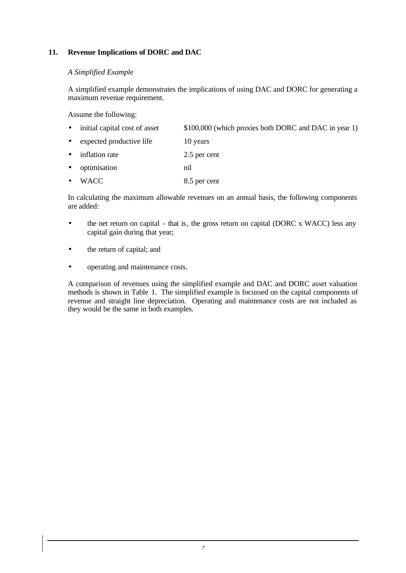## **11. Revenue Implications of DORC and DAC**

#### *A Simplified Example*

A simplified example demonstrates the implications of using DAC and DORC for generating a maximum revenue requirement.

Assume the following:

- initial capital cost of asset \$100,000 (which proxies both DORC and DAC in year 1)
- expected productive life 10 years
- inflation rate 2.5 per cent
- optimisation nil
- WACC 8.5 per cent

In calculating the maximum allowable revenues on an annual basis, the following components are added:

- the net return on capital that is, the gross return on capital (DORC x WACC) less any capital gain during that year;
- the return of capital; and
- operating and maintenance costs.

A comparison of revenues using the simplified example and DAC and DORC asset valuation methods is shown in Table 1. The simplified example is focussed on the capital components of revenue and straight line depreciation. Operating and maintenance costs are not included as they would be the same in both examples.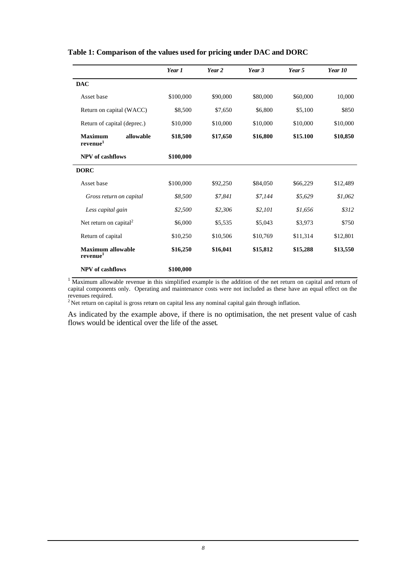|                                           |           | Year 1    | Year 2   | Year 3   | Year 5   | Year 10  |
|-------------------------------------------|-----------|-----------|----------|----------|----------|----------|
| <b>DAC</b>                                |           |           |          |          |          |          |
| Asset base                                |           | \$100,000 | \$90,000 | \$80,000 | \$60,000 | 10,000   |
| Return on capital (WACC)                  |           | \$8,500   | \$7,650  | \$6,800  | \$5,100  | \$850    |
| Return of capital (deprec.)               |           | \$10,000  | \$10,000 | \$10,000 | \$10,000 | \$10,000 |
| <b>Maximum</b><br>$\bf revenue^1$         | allowable | \$18,500  | \$17,650 | \$16,800 | \$15.100 | \$10,850 |
| <b>NPV</b> of cashflows                   |           | \$100,000 |          |          |          |          |
| <b>DORC</b>                               |           |           |          |          |          |          |
| Asset base                                |           | \$100,000 | \$92,250 | \$84,050 | \$66,229 | \$12,489 |
| Gross return on capital                   |           | \$8,500   | \$7.841  | \$7,144  | \$5,629  | \$1,062  |
| Less capital gain                         |           | \$2,500   | \$2,306  | \$2,101  | \$1,656  | \$312    |
| Net return on capital <sup>2</sup>        |           | \$6,000   | \$5,535  | \$5,043  | \$3,973  | \$750    |
| Return of capital                         |           | \$10,250  | \$10,506 | \$10,769 | \$11,314 | \$12,801 |
| Maximum allowable<br>revenue <sup>1</sup> |           | \$16,250  | \$16,041 | \$15,812 | \$15,288 | \$13,550 |
| <b>NPV</b> of cashflows                   |           | \$100,000 |          |          |          |          |

#### **Table 1: Comparison of the values used for pricing under DAC and DORC**

<sup>1</sup>Maximum allowable revenue in this simplified example is the addition of the net return on capital and return of capital components only. Operating and maintenance costs were not included as these have an equal effect on the revenues required.

 $2$ Net return on capital is gross return on capital less any nominal capital gain through inflation.

As indicated by the example above, if there is no optimisation, the net present value of cash flows would be identical over the life of the asset.